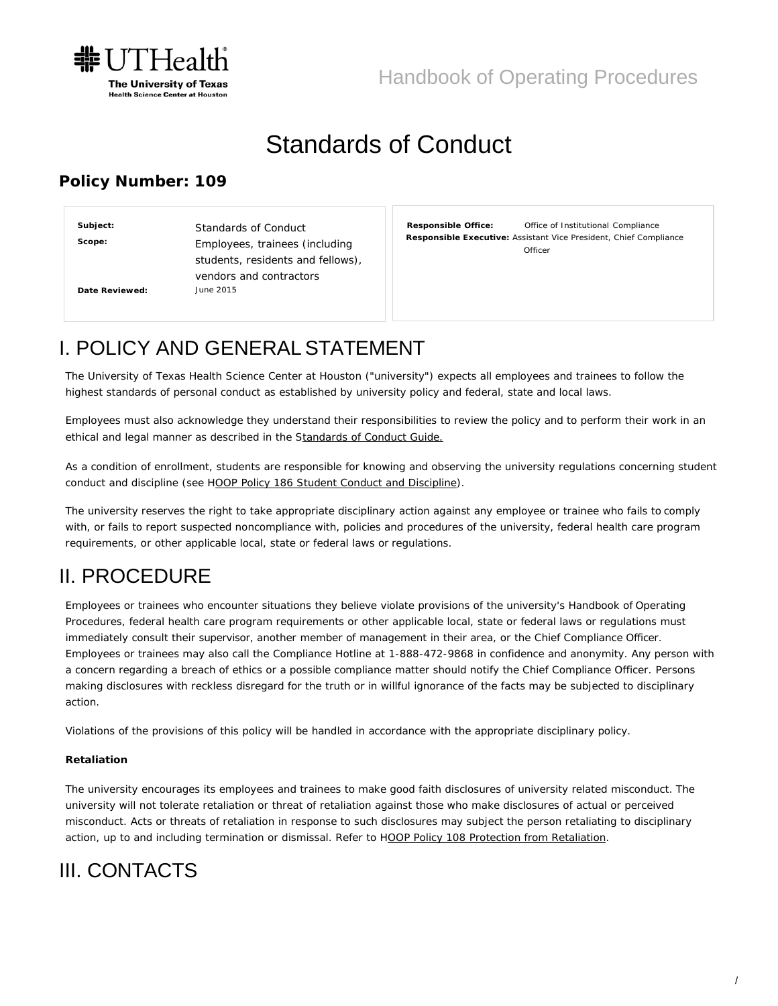

# Standards of Conduct

#### **Policy Number: 109**

Standards of Conduct Employees, trainees (including students, residents and fellows), vendors and contractors June 2015 **Subject: Scope: Date Reviewed:**

**Responsible Office:** Office of Institutional Compliance **Responsible Executive:** Assistant Vice President, Chief Compliance **Officer** 

### I. POLICY AND GENERALSTATEMENT

The University of Texas Health Science Center at Houston ("university") expects all employees and trainees to follow the highest standards of personal conduct as established by university policy and federal, state and local laws.

Employees must also acknowledge they understand their responsibilities to review the policy and to perform their work in an ethical and legal manner as described in the [Standards of Conduct Guide.](https://www.uth.edu/hoop/standards-of-conduct-guide.htm)

As a condition of enrollment, students are responsible for knowing and observing the university regulations concerning student conduct and discipline (see [HOOP Policy 186 Student Conduct and Discipline\)](https://www.uth.edu/hoop/policy.htm?id=1448220).

The university reserves the right to take appropriate disciplinary action against any employee or trainee who fails to comply with, or fails to report suspected noncompliance with, policies and procedures of the university, federal health care program requirements, or other applicable local, state or federal laws or regulations.

### II. PROCEDURE

Employees or trainees who encounter situations they believe violate provisions of the university's Handbook of Operating Procedures, federal health care program requirements or other applicable local, state or federal laws or regulations must immediately consult their supervisor, another member of management in their area, or the Chief Compliance Officer. Employees or trainees may also call the Compliance Hotline at 1-888-472-9868 in confidence and anonymity. Any person with a concern regarding a breach of ethics or a possible compliance matter should notify the Chief Compliance Officer. Persons making disclosures with reckless disregard for the truth or in willful ignorance of the facts may be subjected to disciplinary action.

Violations of the provisions of this policy will be handled in accordance with the appropriate disciplinary policy.

#### **Retaliation**

The university encourages its employees and trainees to make good faith disclosures of university related misconduct. The university will not tolerate retaliation or threat of retaliation against those who make disclosures of actual or perceived misconduct. Acts or threats of retaliation in response to such disclosures may subject the person retaliating to disciplinary action, up to and including termination or dismissal. Refer to [HOOP Policy 108 Protection from Retaliation.](https://www.uth.edu/hoop/policy.htm?id=1448064)

## III. CONTACTS